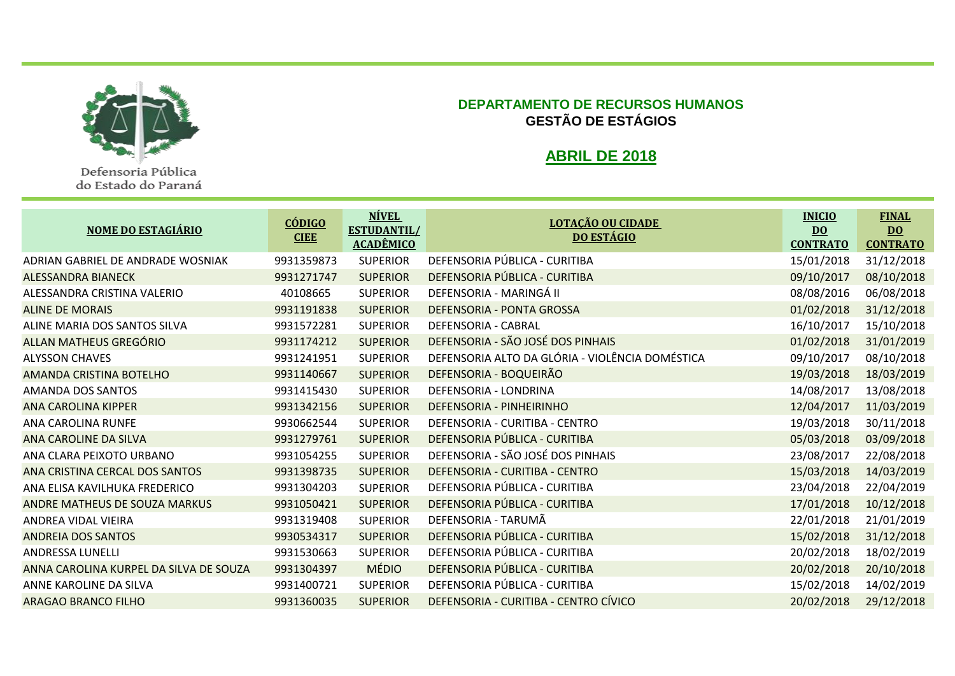

Defensoria Pública do Estado do Paraná

## **DEPARTAMENTO DE RECURSOS HUMANOS GESTÃO DE ESTÁGIOS**

## **ABRIL DE 2018**

| <b>NOME DO ESTAGIÁRIO</b>              | <u>CÓDIGO</u><br><b>CIEE</b> | <b>NÍVEL</b><br><b>ESTUDANTIL/</b><br><b>ACADÊMICO</b> | <u>LOTAÇÃO OU CIDADE</u><br><b>DO ESTÁGIO</b>   | <b>INICIO</b><br>$\overline{DQ}$<br><b>CONTRATO</b> | <b>FINAL</b><br>$\underline{DO}$<br><b>CONTRATO</b> |
|----------------------------------------|------------------------------|--------------------------------------------------------|-------------------------------------------------|-----------------------------------------------------|-----------------------------------------------------|
| ADRIAN GABRIEL DE ANDRADE WOSNIAK      | 9931359873                   | <b>SUPERIOR</b>                                        | DEFENSORIA PÚBLICA - CURITIBA                   | 15/01/2018                                          | 31/12/2018                                          |
| <b>ALESSANDRA BIANECK</b>              | 9931271747                   | <b>SUPERIOR</b>                                        | DEFENSORIA PÚBLICA - CURITIBA                   | 09/10/2017                                          | 08/10/2018                                          |
| ALESSANDRA CRISTINA VALERIO            | 40108665                     | <b>SUPERIOR</b>                                        | DEFENSORIA - MARINGÁ II                         | 08/08/2016                                          | 06/08/2018                                          |
| <b>ALINE DE MORAIS</b>                 | 9931191838                   | <b>SUPERIOR</b>                                        | DEFENSORIA - PONTA GROSSA                       | 01/02/2018                                          | 31/12/2018                                          |
| ALINE MARIA DOS SANTOS SILVA           | 9931572281                   | <b>SUPERIOR</b>                                        | DEFENSORIA - CABRAL                             | 16/10/2017                                          | 15/10/2018                                          |
| ALLAN MATHEUS GREGÓRIO                 | 9931174212                   | <b>SUPERIOR</b>                                        | DEFENSORIA - SÃO JOSÉ DOS PINHAIS               | 01/02/2018                                          | 31/01/2019                                          |
| <b>ALYSSON CHAVES</b>                  | 9931241951                   | <b>SUPERIOR</b>                                        | DEFENSORIA ALTO DA GLÓRIA - VIOLÊNCIA DOMÉSTICA | 09/10/2017                                          | 08/10/2018                                          |
| AMANDA CRISTINA BOTELHO                | 9931140667                   | <b>SUPERIOR</b>                                        | DEFENSORIA - BOQUEIRÃO                          | 19/03/2018                                          | 18/03/2019                                          |
| AMANDA DOS SANTOS                      | 9931415430                   | <b>SUPERIOR</b>                                        | DEFENSORIA - LONDRINA                           | 14/08/2017                                          | 13/08/2018                                          |
| <b>ANA CAROLINA KIPPER</b>             | 9931342156                   | <b>SUPERIOR</b>                                        | DEFENSORIA - PINHEIRINHO                        | 12/04/2017                                          | 11/03/2019                                          |
| ANA CAROLINA RUNFE                     | 9930662544                   | <b>SUPERIOR</b>                                        | DEFENSORIA - CURITIBA - CENTRO                  | 19/03/2018                                          | 30/11/2018                                          |
| ANA CAROLINE DA SILVA                  | 9931279761                   | <b>SUPERIOR</b>                                        | DEFENSORIA PÚBLICA - CURITIBA                   | 05/03/2018                                          | 03/09/2018                                          |
| ANA CLARA PEIXOTO URBANO               | 9931054255                   | <b>SUPERIOR</b>                                        | DEFENSORIA - SÃO JOSÉ DOS PINHAIS               | 23/08/2017                                          | 22/08/2018                                          |
| ANA CRISTINA CERCAL DOS SANTOS         | 9931398735                   | <b>SUPERIOR</b>                                        | DEFENSORIA - CURITIBA - CENTRO                  | 15/03/2018                                          | 14/03/2019                                          |
| ANA ELISA KAVILHUKA FREDERICO          | 9931304203                   | <b>SUPERIOR</b>                                        | DEFENSORIA PÚBLICA - CURITIBA                   | 23/04/2018                                          | 22/04/2019                                          |
| ANDRE MATHEUS DE SOUZA MARKUS          | 9931050421                   | <b>SUPERIOR</b>                                        | DEFENSORIA PÚBLICA - CURITIBA                   | 17/01/2018                                          | 10/12/2018                                          |
| ANDREA VIDAL VIEIRA                    | 9931319408                   | <b>SUPERIOR</b>                                        | DEFENSORIA - TARUMÃ                             | 22/01/2018                                          | 21/01/2019                                          |
| <b>ANDREIA DOS SANTOS</b>              | 9930534317                   | <b>SUPERIOR</b>                                        | DEFENSORIA PÚBLICA - CURITIBA                   | 15/02/2018                                          | 31/12/2018                                          |
| ANDRESSA LUNELLI                       | 9931530663                   | <b>SUPERIOR</b>                                        | DEFENSORIA PÚBLICA - CURITIBA                   | 20/02/2018                                          | 18/02/2019                                          |
| ANNA CAROLINA KURPEL DA SILVA DE SOUZA | 9931304397                   | <b>MÉDIO</b>                                           | DEFENSORIA PÚBLICA - CURITIBA                   | 20/02/2018                                          | 20/10/2018                                          |
| ANNE KAROLINE DA SILVA                 | 9931400721                   | <b>SUPERIOR</b>                                        | DEFENSORIA PÚBLICA - CURITIBA                   | 15/02/2018                                          | 14/02/2019                                          |
| <b>ARAGAO BRANCO FILHO</b>             | 9931360035                   | <b>SUPERIOR</b>                                        | DEFENSORIA - CURITIBA - CENTRO CÍVICO           | 20/02/2018                                          | 29/12/2018                                          |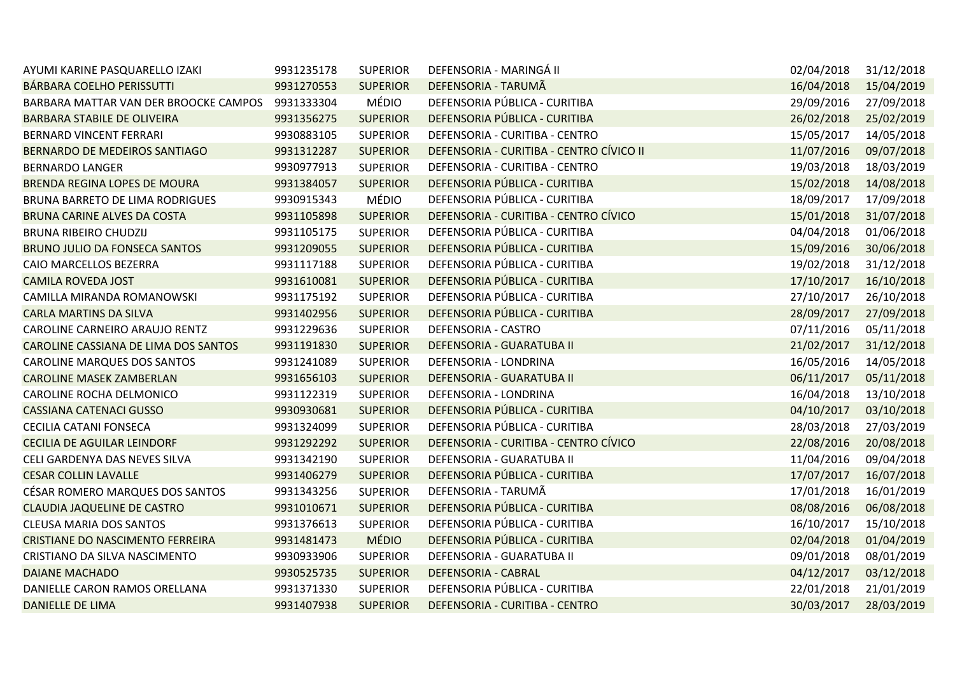| AYUMI KARINE PASQUARELLO IZAKI          | 9931235178 | <b>SUPERIOR</b> | DEFENSORIA - MARINGÁ II                  | 02/04/2018 | 31/12/2018 |
|-----------------------------------------|------------|-----------------|------------------------------------------|------------|------------|
| BÁRBARA COELHO PERISSUTTI               | 9931270553 | <b>SUPERIOR</b> | DEFENSORIA - TARUMÃ                      | 16/04/2018 | 15/04/2019 |
| BARBARA MATTAR VAN DER BROOCKE CAMPOS   | 9931333304 | <b>MÉDIO</b>    | DEFENSORIA PÚBLICA - CURITIBA            | 29/09/2016 | 27/09/2018 |
| <b>BARBARA STABILE DE OLIVEIRA</b>      | 9931356275 | <b>SUPERIOR</b> | DEFENSORIA PÚBLICA - CURITIBA            | 26/02/2018 | 25/02/2019 |
| BERNARD VINCENT FERRARI                 | 9930883105 | <b>SUPERIOR</b> | DEFENSORIA - CURITIBA - CENTRO           | 15/05/2017 | 14/05/2018 |
| BERNARDO DE MEDEIROS SANTIAGO           | 9931312287 | <b>SUPERIOR</b> | DEFENSORIA - CURITIBA - CENTRO CÍVICO II | 11/07/2016 | 09/07/2018 |
| <b>BERNARDO LANGER</b>                  | 9930977913 | <b>SUPERIOR</b> | DEFENSORIA - CURITIBA - CENTRO           | 19/03/2018 | 18/03/2019 |
| <b>BRENDA REGINA LOPES DE MOURA</b>     | 9931384057 | <b>SUPERIOR</b> | DEFENSORIA PÚBLICA - CURITIBA            | 15/02/2018 | 14/08/2018 |
| BRUNA BARRETO DE LIMA RODRIGUES         | 9930915343 | MÉDIO           | DEFENSORIA PÚBLICA - CURITIBA            | 18/09/2017 | 17/09/2018 |
| BRUNA CARINE ALVES DA COSTA             | 9931105898 | <b>SUPERIOR</b> | DEFENSORIA - CURITIBA - CENTRO CÍVICO    | 15/01/2018 | 31/07/2018 |
| <b>BRUNA RIBEIRO CHUDZIJ</b>            | 9931105175 | <b>SUPERIOR</b> | DEFENSORIA PÚBLICA - CURITIBA            | 04/04/2018 | 01/06/2018 |
| <b>BRUNO JULIO DA FONSECA SANTOS</b>    | 9931209055 | <b>SUPERIOR</b> | DEFENSORIA PÚBLICA - CURITIBA            | 15/09/2016 | 30/06/2018 |
| CAIO MARCELLOS BEZERRA                  | 9931117188 | <b>SUPERIOR</b> | DEFENSORIA PÚBLICA - CURITIBA            | 19/02/2018 | 31/12/2018 |
| <b>CAMILA ROVEDA JOST</b>               | 9931610081 | <b>SUPERIOR</b> | DEFENSORIA PÚBLICA - CURITIBA            | 17/10/2017 | 16/10/2018 |
| CAMILLA MIRANDA ROMANOWSKI              | 9931175192 | <b>SUPERIOR</b> | DEFENSORIA PÚBLICA - CURITIBA            | 27/10/2017 | 26/10/2018 |
| <b>CARLA MARTINS DA SILVA</b>           | 9931402956 | <b>SUPERIOR</b> | DEFENSORIA PÚBLICA - CURITIBA            | 28/09/2017 | 27/09/2018 |
| CAROLINE CARNEIRO ARAUJO RENTZ          | 9931229636 | <b>SUPERIOR</b> | DEFENSORIA - CASTRO                      | 07/11/2016 | 05/11/2018 |
| CAROLINE CASSIANA DE LIMA DOS SANTOS    | 9931191830 | <b>SUPERIOR</b> | DEFENSORIA - GUARATUBA II                | 21/02/2017 | 31/12/2018 |
| CAROLINE MARQUES DOS SANTOS             | 9931241089 | <b>SUPERIOR</b> | DEFENSORIA - LONDRINA                    | 16/05/2016 | 14/05/2018 |
| <b>CAROLINE MASEK ZAMBERLAN</b>         | 9931656103 | <b>SUPERIOR</b> | DEFENSORIA - GUARATUBA II                | 06/11/2017 | 05/11/2018 |
| CAROLINE ROCHA DELMONICO                | 9931122319 | <b>SUPERIOR</b> | DEFENSORIA - LONDRINA                    | 16/04/2018 | 13/10/2018 |
| <b>CASSIANA CATENACI GUSSO</b>          | 9930930681 | <b>SUPERIOR</b> | DEFENSORIA PÚBLICA - CURITIBA            | 04/10/2017 | 03/10/2018 |
| <b>CECILIA CATANI FONSECA</b>           | 9931324099 | <b>SUPERIOR</b> | DEFENSORIA PÚBLICA - CURITIBA            | 28/03/2018 | 27/03/2019 |
| <b>CECILIA DE AGUILAR LEINDORF</b>      | 9931292292 | <b>SUPERIOR</b> | DEFENSORIA - CURITIBA - CENTRO CÍVICO    | 22/08/2016 | 20/08/2018 |
| CELI GARDENYA DAS NEVES SILVA           | 9931342190 | <b>SUPERIOR</b> | DEFENSORIA - GUARATUBA II                | 11/04/2016 | 09/04/2018 |
| <b>CESAR COLLIN LAVALLE</b>             | 9931406279 | <b>SUPERIOR</b> | DEFENSORIA PÚBLICA - CURITIBA            | 17/07/2017 | 16/07/2018 |
| CÉSAR ROMERO MARQUES DOS SANTOS         | 9931343256 | <b>SUPERIOR</b> | DEFENSORIA - TARUMÃ                      | 17/01/2018 | 16/01/2019 |
| <b>CLAUDIA JAQUELINE DE CASTRO</b>      | 9931010671 | <b>SUPERIOR</b> | DEFENSORIA PÚBLICA - CURITIBA            | 08/08/2016 | 06/08/2018 |
| <b>CLEUSA MARIA DOS SANTOS</b>          | 9931376613 | <b>SUPERIOR</b> | DEFENSORIA PÚBLICA - CURITIBA            | 16/10/2017 | 15/10/2018 |
| <b>CRISTIANE DO NASCIMENTO FERREIRA</b> | 9931481473 | <b>MÉDIO</b>    | DEFENSORIA PÚBLICA - CURITIBA            | 02/04/2018 | 01/04/2019 |
| CRISTIANO DA SILVA NASCIMENTO           | 9930933906 | <b>SUPERIOR</b> | DEFENSORIA - GUARATUBA II                | 09/01/2018 | 08/01/2019 |
| <b>DAIANE MACHADO</b>                   | 9930525735 | <b>SUPERIOR</b> | <b>DEFENSORIA - CABRAL</b>               | 04/12/2017 | 03/12/2018 |
| DANIELLE CARON RAMOS ORELLANA           | 9931371330 | <b>SUPERIOR</b> | DEFENSORIA PÚBLICA - CURITIBA            | 22/01/2018 | 21/01/2019 |
| <b>DANIELLE DE LIMA</b>                 | 9931407938 | <b>SUPERIOR</b> | DEFENSORIA - CURITIBA - CENTRO           | 30/03/2017 | 28/03/2019 |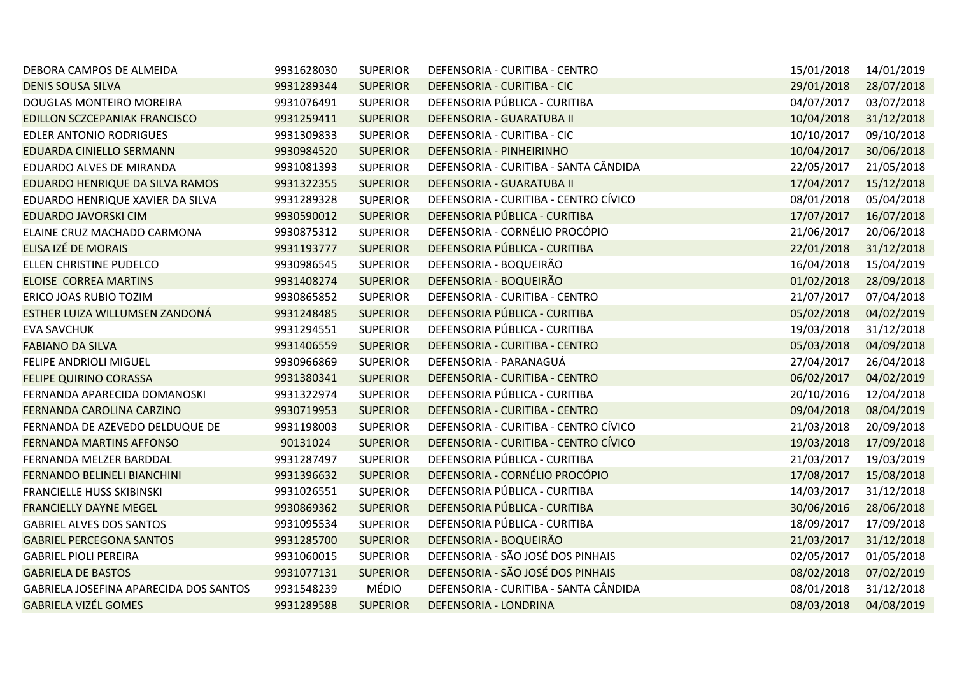| DEBORA CAMPOS DE ALMEIDA               | 9931628030 | <b>SUPERIOR</b> | DEFENSORIA - CURITIBA - CENTRO        | 15/01/2018 | 14/01/2019 |
|----------------------------------------|------------|-----------------|---------------------------------------|------------|------------|
| <b>DENIS SOUSA SILVA</b>               | 9931289344 | <b>SUPERIOR</b> | DEFENSORIA - CURITIBA - CIC           | 29/01/2018 | 28/07/2018 |
| DOUGLAS MONTEIRO MOREIRA               | 9931076491 | <b>SUPERIOR</b> | DEFENSORIA PÚBLICA - CURITIBA         | 04/07/2017 | 03/07/2018 |
| EDILLON SCZCEPANIAK FRANCISCO          | 9931259411 | <b>SUPERIOR</b> | DEFENSORIA - GUARATUBA II             | 10/04/2018 | 31/12/2018 |
| EDLER ANTONIO RODRIGUES                | 9931309833 | <b>SUPERIOR</b> | DEFENSORIA - CURITIBA - CIC           | 10/10/2017 | 09/10/2018 |
| EDUARDA CINIELLO SERMANN               | 9930984520 | <b>SUPERIOR</b> | DEFENSORIA - PINHEIRINHO              | 10/04/2017 | 30/06/2018 |
| EDUARDO ALVES DE MIRANDA               | 9931081393 | <b>SUPERIOR</b> | DEFENSORIA - CURITIBA - SANTA CÂNDIDA | 22/05/2017 | 21/05/2018 |
| EDUARDO HENRIQUE DA SILVA RAMOS        | 9931322355 | <b>SUPERIOR</b> | DEFENSORIA - GUARATUBA II             | 17/04/2017 | 15/12/2018 |
| EDUARDO HENRIQUE XAVIER DA SILVA       | 9931289328 | <b>SUPERIOR</b> | DEFENSORIA - CURITIBA - CENTRO CÍVICO | 08/01/2018 | 05/04/2018 |
| EDUARDO JAVORSKI CIM                   | 9930590012 | <b>SUPERIOR</b> | DEFENSORIA PÚBLICA - CURITIBA         | 17/07/2017 | 16/07/2018 |
| ELAINE CRUZ MACHADO CARMONA            | 9930875312 | <b>SUPERIOR</b> | DEFENSORIA - CORNÉLIO PROCÓPIO        | 21/06/2017 | 20/06/2018 |
| ELISA IZÉ DE MORAIS                    | 9931193777 | <b>SUPERIOR</b> | DEFENSORIA PÚBLICA - CURITIBA         | 22/01/2018 | 31/12/2018 |
| ELLEN CHRISTINE PUDELCO                | 9930986545 | <b>SUPERIOR</b> | DEFENSORIA - BOQUEIRÃO                | 16/04/2018 | 15/04/2019 |
| <b>ELOISE CORREA MARTINS</b>           | 9931408274 | <b>SUPERIOR</b> | DEFENSORIA - BOQUEIRÃO                | 01/02/2018 | 28/09/2018 |
| ERICO JOAS RUBIO TOZIM                 | 9930865852 | <b>SUPERIOR</b> | DEFENSORIA - CURITIBA - CENTRO        | 21/07/2017 | 07/04/2018 |
| ESTHER LUIZA WILLUMSEN ZANDONÁ         | 9931248485 | <b>SUPERIOR</b> | DEFENSORIA PÚBLICA - CURITIBA         | 05/02/2018 | 04/02/2019 |
| <b>EVA SAVCHUK</b>                     | 9931294551 | <b>SUPERIOR</b> | DEFENSORIA PÚBLICA - CURITIBA         | 19/03/2018 | 31/12/2018 |
| <b>FABIANO DA SILVA</b>                | 9931406559 | <b>SUPERIOR</b> | DEFENSORIA - CURITIBA - CENTRO        | 05/03/2018 | 04/09/2018 |
| FELIPE ANDRIOLI MIGUEL                 | 9930966869 | <b>SUPERIOR</b> | DEFENSORIA - PARANAGUÁ                | 27/04/2017 | 26/04/2018 |
| <b>FELIPE QUIRINO CORASSA</b>          | 9931380341 | <b>SUPERIOR</b> | DEFENSORIA - CURITIBA - CENTRO        | 06/02/2017 | 04/02/2019 |
| FERNANDA APARECIDA DOMANOSKI           | 9931322974 | <b>SUPERIOR</b> | DEFENSORIA PÚBLICA - CURITIBA         | 20/10/2016 | 12/04/2018 |
| FERNANDA CAROLINA CARZINO              | 9930719953 | <b>SUPERIOR</b> | DEFENSORIA - CURITIBA - CENTRO        | 09/04/2018 | 08/04/2019 |
| FERNANDA DE AZEVEDO DELDUQUE DE        | 9931198003 | <b>SUPERIOR</b> | DEFENSORIA - CURITIBA - CENTRO CÍVICO | 21/03/2018 | 20/09/2018 |
| FERNANDA MARTINS AFFONSO               | 90131024   | <b>SUPERIOR</b> | DEFENSORIA - CURITIBA - CENTRO CÍVICO | 19/03/2018 | 17/09/2018 |
| FERNANDA MELZER BARDDAL                | 9931287497 | <b>SUPERIOR</b> | DEFENSORIA PÚBLICA - CURITIBA         | 21/03/2017 | 19/03/2019 |
| FERNANDO BELINELI BIANCHINI            | 9931396632 | <b>SUPERIOR</b> | DEFENSORIA - CORNÉLIO PROCÓPIO        | 17/08/2017 | 15/08/2018 |
| FRANCIELLE HUSS SKIBINSKI              | 9931026551 | <b>SUPERIOR</b> | DEFENSORIA PÚBLICA - CURITIBA         | 14/03/2017 | 31/12/2018 |
| <b>FRANCIELLY DAYNE MEGEL</b>          | 9930869362 | <b>SUPERIOR</b> | DEFENSORIA PÚBLICA - CURITIBA         | 30/06/2016 | 28/06/2018 |
| <b>GABRIEL ALVES DOS SANTOS</b>        | 9931095534 | <b>SUPERIOR</b> | DEFENSORIA PÚBLICA - CURITIBA         | 18/09/2017 | 17/09/2018 |
| <b>GABRIEL PERCEGONA SANTOS</b>        | 9931285700 | <b>SUPERIOR</b> | DEFENSORIA - BOQUEIRÃO                | 21/03/2017 | 31/12/2018 |
| <b>GABRIEL PIOLI PEREIRA</b>           | 9931060015 | <b>SUPERIOR</b> | DEFENSORIA - SÃO JOSÉ DOS PINHAIS     | 02/05/2017 | 01/05/2018 |
| <b>GABRIELA DE BASTOS</b>              | 9931077131 | <b>SUPERIOR</b> | DEFENSORIA - SÃO JOSÉ DOS PINHAIS     | 08/02/2018 | 07/02/2019 |
| GABRIELA JOSEFINA APARECIDA DOS SANTOS | 9931548239 | MÉDIO           | DEFENSORIA - CURITIBA - SANTA CÂNDIDA | 08/01/2018 | 31/12/2018 |
| <b>GABRIELA VIZÉL GOMES</b>            | 9931289588 | <b>SUPERIOR</b> | DEFENSORIA - LONDRINA                 | 08/03/2018 | 04/08/2019 |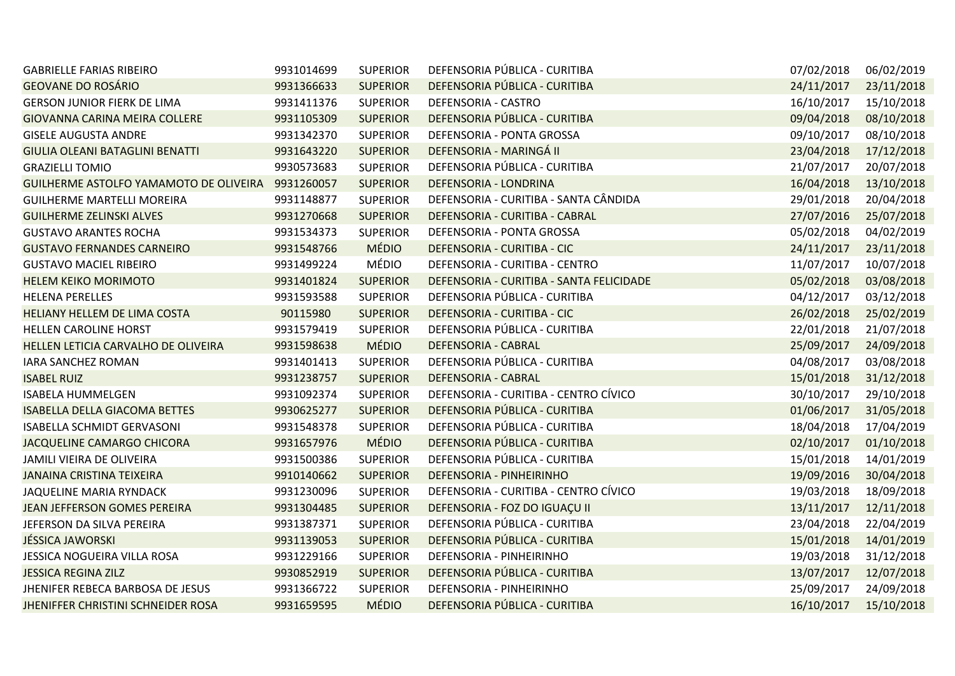| <b>GABRIELLE FARIAS RIBEIRO</b>        | 9931014699 | <b>SUPERIOR</b> | DEFENSORIA PÚBLICA - CURITIBA            | 07/02/2018 | 06/02/2019 |
|----------------------------------------|------------|-----------------|------------------------------------------|------------|------------|
| <b>GEOVANE DO ROSÁRIO</b>              | 9931366633 | <b>SUPERIOR</b> | DEFENSORIA PÚBLICA - CURITIBA            | 24/11/2017 | 23/11/2018 |
| <b>GERSON JUNIOR FIERK DE LIMA</b>     | 9931411376 | <b>SUPERIOR</b> | DEFENSORIA - CASTRO                      | 16/10/2017 | 15/10/2018 |
| GIOVANNA CARINA MEIRA COLLERE          | 9931105309 | <b>SUPERIOR</b> | DEFENSORIA PÚBLICA - CURITIBA            | 09/04/2018 | 08/10/2018 |
| <b>GISELE AUGUSTA ANDRE</b>            | 9931342370 | <b>SUPERIOR</b> | DEFENSORIA - PONTA GROSSA                | 09/10/2017 | 08/10/2018 |
| GIULIA OLEANI BATAGLINI BENATTI        | 9931643220 | <b>SUPERIOR</b> | DEFENSORIA - MARINGÁ II                  | 23/04/2018 | 17/12/2018 |
| <b>GRAZIELLI TOMIO</b>                 | 9930573683 | <b>SUPERIOR</b> | DEFENSORIA PÚBLICA - CURITIBA            | 21/07/2017 | 20/07/2018 |
| GUILHERME ASTOLFO YAMAMOTO DE OLIVEIRA | 9931260057 | <b>SUPERIOR</b> | DEFENSORIA - LONDRINA                    | 16/04/2018 | 13/10/2018 |
| <b>GUILHERME MARTELLI MOREIRA</b>      | 9931148877 | <b>SUPERIOR</b> | DEFENSORIA - CURITIBA - SANTA CÂNDIDA    | 29/01/2018 | 20/04/2018 |
| <b>GUILHERME ZELINSKI ALVES</b>        | 9931270668 | <b>SUPERIOR</b> | DEFENSORIA - CURITIBA - CABRAL           | 27/07/2016 | 25/07/2018 |
| <b>GUSTAVO ARANTES ROCHA</b>           | 9931534373 | <b>SUPERIOR</b> | DEFENSORIA - PONTA GROSSA                | 05/02/2018 | 04/02/2019 |
| <b>GUSTAVO FERNANDES CARNEIRO</b>      | 9931548766 | <b>MÉDIO</b>    | DEFENSORIA - CURITIBA - CIC              | 24/11/2017 | 23/11/2018 |
| <b>GUSTAVO MACIEL RIBEIRO</b>          | 9931499224 | MÉDIO           | DEFENSORIA - CURITIBA - CENTRO           | 11/07/2017 | 10/07/2018 |
| <b>HELEM KEIKO MORIMOTO</b>            | 9931401824 | <b>SUPERIOR</b> | DEFENSORIA - CURITIBA - SANTA FELICIDADE | 05/02/2018 | 03/08/2018 |
| <b>HELENA PERELLES</b>                 | 9931593588 | <b>SUPERIOR</b> | DEFENSORIA PÚBLICA - CURITIBA            | 04/12/2017 | 03/12/2018 |
| <b>HELIANY HELLEM DE LIMA COSTA</b>    | 90115980   | <b>SUPERIOR</b> | DEFENSORIA - CURITIBA - CIC              | 26/02/2018 | 25/02/2019 |
| HELLEN CAROLINE HORST                  | 9931579419 | <b>SUPERIOR</b> | DEFENSORIA PÚBLICA - CURITIBA            | 22/01/2018 | 21/07/2018 |
| HELLEN LETICIA CARVALHO DE OLIVEIRA    | 9931598638 | <b>MÉDIO</b>    | <b>DEFENSORIA - CABRAL</b>               | 25/09/2017 | 24/09/2018 |
| <b>IARA SANCHEZ ROMAN</b>              | 9931401413 | <b>SUPERIOR</b> | DEFENSORIA PÚBLICA - CURITIBA            | 04/08/2017 | 03/08/2018 |
| <b>ISABEL RUIZ</b>                     | 9931238757 | <b>SUPERIOR</b> | <b>DEFENSORIA - CABRAL</b>               | 15/01/2018 | 31/12/2018 |
| <b>ISABELA HUMMELGEN</b>               | 9931092374 | <b>SUPERIOR</b> | DEFENSORIA - CURITIBA - CENTRO CÍVICO    | 30/10/2017 | 29/10/2018 |
| <b>ISABELLA DELLA GIACOMA BETTES</b>   | 9930625277 | <b>SUPERIOR</b> | DEFENSORIA PÚBLICA - CURITIBA            | 01/06/2017 | 31/05/2018 |
| <b>ISABELLA SCHMIDT GERVASONI</b>      | 9931548378 | <b>SUPERIOR</b> | DEFENSORIA PÚBLICA - CURITIBA            | 18/04/2018 | 17/04/2019 |
| JACQUELINE CAMARGO CHICORA             | 9931657976 | <b>MÉDIO</b>    | DEFENSORIA PÚBLICA - CURITIBA            | 02/10/2017 | 01/10/2018 |
| JAMILI VIEIRA DE OLIVEIRA              | 9931500386 | <b>SUPERIOR</b> | DEFENSORIA PÚBLICA - CURITIBA            | 15/01/2018 | 14/01/2019 |
| <b>JANAINA CRISTINA TEIXEIRA</b>       | 9910140662 | <b>SUPERIOR</b> | DEFENSORIA - PINHEIRINHO                 | 19/09/2016 | 30/04/2018 |
| JAQUELINE MARIA RYNDACK                | 9931230096 | <b>SUPERIOR</b> | DEFENSORIA - CURITIBA - CENTRO CÍVICO    | 19/03/2018 | 18/09/2018 |
| JEAN JEFFERSON GOMES PEREIRA           | 9931304485 | <b>SUPERIOR</b> | DEFENSORIA - FOZ DO IGUAÇU II            | 13/11/2017 | 12/11/2018 |
| JEFERSON DA SILVA PEREIRA              | 9931387371 | <b>SUPERIOR</b> | DEFENSORIA PÚBLICA - CURITIBA            | 23/04/2018 | 22/04/2019 |
| <b>JÉSSICA JAWORSKI</b>                | 9931139053 | <b>SUPERIOR</b> | DEFENSORIA PÚBLICA - CURITIBA            | 15/01/2018 | 14/01/2019 |
| JESSICA NOGUEIRA VILLA ROSA            | 9931229166 | <b>SUPERIOR</b> | DEFENSORIA - PINHEIRINHO                 | 19/03/2018 | 31/12/2018 |
| <b>JESSICA REGINA ZILZ</b>             | 9930852919 | <b>SUPERIOR</b> | DEFENSORIA PÚBLICA - CURITIBA            | 13/07/2017 | 12/07/2018 |
| JHENIFER REBECA BARBOSA DE JESUS       | 9931366722 | <b>SUPERIOR</b> | DEFENSORIA - PINHEIRINHO                 | 25/09/2017 | 24/09/2018 |
| JHENIFFER CHRISTINI SCHNEIDER ROSA     | 9931659595 | <b>MÉDIO</b>    | DEFENSORIA PÚBLICA - CURITIBA            | 16/10/2017 | 15/10/2018 |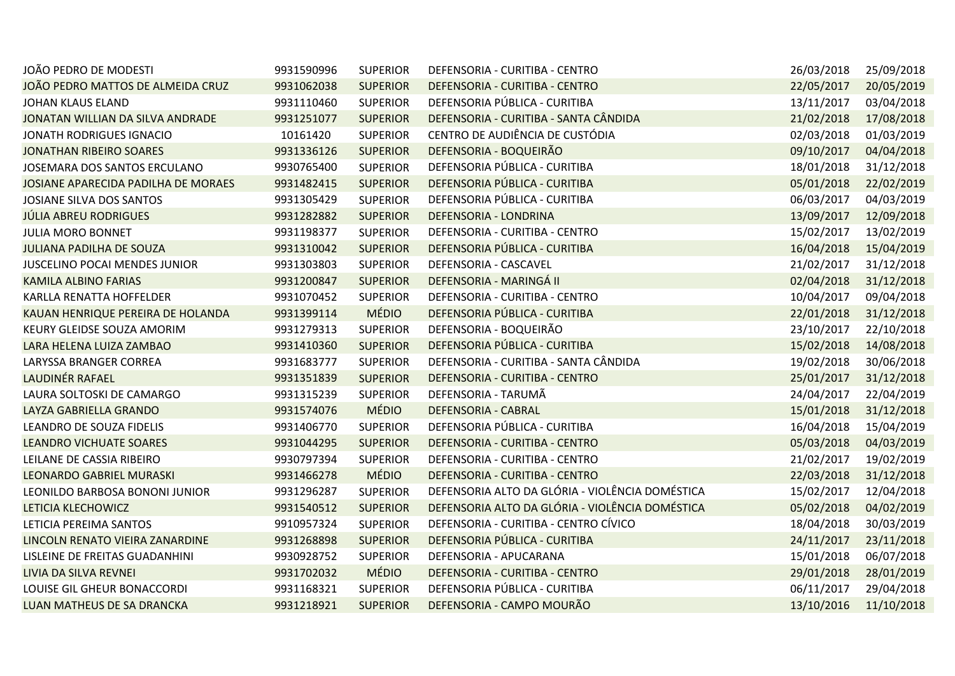| JOÃO PEDRO DE MODESTI               | 9931590996 | <b>SUPERIOR</b> | DEFENSORIA - CURITIBA - CENTRO                  | 26/03/2018 | 25/09/2018 |
|-------------------------------------|------------|-----------------|-------------------------------------------------|------------|------------|
| JOÃO PEDRO MATTOS DE ALMEIDA CRUZ   | 9931062038 | <b>SUPERIOR</b> | DEFENSORIA - CURITIBA - CENTRO                  | 22/05/2017 | 20/05/2019 |
| <b>JOHAN KLAUS ELAND</b>            | 9931110460 | <b>SUPERIOR</b> | DEFENSORIA PÚBLICA - CURITIBA                   | 13/11/2017 | 03/04/2018 |
| JONATAN WILLIAN DA SILVA ANDRADE    | 9931251077 | <b>SUPERIOR</b> | DEFENSORIA - CURITIBA - SANTA CÂNDIDA           | 21/02/2018 | 17/08/2018 |
| JONATH RODRIGUES IGNACIO            | 10161420   | <b>SUPERIOR</b> | CENTRO DE AUDIÊNCIA DE CUSTÓDIA                 | 02/03/2018 | 01/03/2019 |
| <b>JONATHAN RIBEIRO SOARES</b>      | 9931336126 | <b>SUPERIOR</b> | DEFENSORIA - BOQUEIRÃO                          | 09/10/2017 | 04/04/2018 |
| JOSEMARA DOS SANTOS ERCULANO        | 9930765400 | <b>SUPERIOR</b> | DEFENSORIA PÚBLICA - CURITIBA                   | 18/01/2018 | 31/12/2018 |
| JOSIANE APARECIDA PADILHA DE MORAES | 9931482415 | <b>SUPERIOR</b> | DEFENSORIA PÚBLICA - CURITIBA                   | 05/01/2018 | 22/02/2019 |
| JOSIANE SILVA DOS SANTOS            | 9931305429 | <b>SUPERIOR</b> | DEFENSORIA PÚBLICA - CURITIBA                   | 06/03/2017 | 04/03/2019 |
| <b>JÚLIA ABREU RODRIGUES</b>        | 9931282882 | <b>SUPERIOR</b> | DEFENSORIA - LONDRINA                           | 13/09/2017 | 12/09/2018 |
| <b>JULIA MORO BONNET</b>            | 9931198377 | <b>SUPERIOR</b> | DEFENSORIA - CURITIBA - CENTRO                  | 15/02/2017 | 13/02/2019 |
| <b>JULIANA PADILHA DE SOUZA</b>     | 9931310042 | <b>SUPERIOR</b> | DEFENSORIA PÚBLICA - CURITIBA                   | 16/04/2018 | 15/04/2019 |
| JUSCELINO POCAI MENDES JUNIOR       | 9931303803 | <b>SUPERIOR</b> | DEFENSORIA - CASCAVEL                           | 21/02/2017 | 31/12/2018 |
| <b>KAMILA ALBINO FARIAS</b>         | 9931200847 | <b>SUPERIOR</b> | DEFENSORIA - MARINGÁ II                         | 02/04/2018 | 31/12/2018 |
| KARLLA RENATTA HOFFELDER            | 9931070452 | <b>SUPERIOR</b> | DEFENSORIA - CURITIBA - CENTRO                  | 10/04/2017 | 09/04/2018 |
| KAUAN HENRIQUE PEREIRA DE HOLANDA   | 9931399114 | <b>MÉDIO</b>    | DEFENSORIA PÚBLICA - CURITIBA                   | 22/01/2018 | 31/12/2018 |
| KEURY GLEIDSE SOUZA AMORIM          | 9931279313 | <b>SUPERIOR</b> | DEFENSORIA - BOQUEIRÃO                          | 23/10/2017 | 22/10/2018 |
| LARA HELENA LUIZA ZAMBAO            | 9931410360 | <b>SUPERIOR</b> | DEFENSORIA PÚBLICA - CURITIBA                   | 15/02/2018 | 14/08/2018 |
| LARYSSA BRANGER CORREA              | 9931683777 | <b>SUPERIOR</b> | DEFENSORIA - CURITIBA - SANTA CÂNDIDA           | 19/02/2018 | 30/06/2018 |
| LAUDINÉR RAFAEL                     | 9931351839 | <b>SUPERIOR</b> | DEFENSORIA - CURITIBA - CENTRO                  | 25/01/2017 | 31/12/2018 |
| LAURA SOLTOSKI DE CAMARGO           | 9931315239 | <b>SUPERIOR</b> | DEFENSORIA - TARUMÃ                             | 24/04/2017 | 22/04/2019 |
| LAYZA GABRIELLA GRANDO              | 9931574076 | <b>MÉDIO</b>    | <b>DEFENSORIA - CABRAL</b>                      | 15/01/2018 | 31/12/2018 |
| LEANDRO DE SOUZA FIDELIS            | 9931406770 | <b>SUPERIOR</b> | DEFENSORIA PÚBLICA - CURITIBA                   | 16/04/2018 | 15/04/2019 |
| <b>LEANDRO VICHUATE SOARES</b>      | 9931044295 | <b>SUPERIOR</b> | DEFENSORIA - CURITIBA - CENTRO                  | 05/03/2018 | 04/03/2019 |
| LEILANE DE CASSIA RIBEIRO           | 9930797394 | <b>SUPERIOR</b> | DEFENSORIA - CURITIBA - CENTRO                  | 21/02/2017 | 19/02/2019 |
| <b>LEONARDO GABRIEL MURASKI</b>     | 9931466278 | <b>MÉDIO</b>    | DEFENSORIA - CURITIBA - CENTRO                  | 22/03/2018 | 31/12/2018 |
| LEONILDO BARBOSA BONONI JUNIOR      | 9931296287 | <b>SUPERIOR</b> | DEFENSORIA ALTO DA GLÓRIA - VIOLÊNCIA DOMÉSTICA | 15/02/2017 | 12/04/2018 |
| LETICIA KLECHOWICZ                  | 9931540512 | <b>SUPERIOR</b> | DEFENSORIA ALTO DA GLÓRIA - VIOLÊNCIA DOMÉSTICA | 05/02/2018 | 04/02/2019 |
| LETICIA PEREIMA SANTOS              | 9910957324 | <b>SUPERIOR</b> | DEFENSORIA - CURITIBA - CENTRO CÍVICO           | 18/04/2018 | 30/03/2019 |
| LINCOLN RENATO VIEIRA ZANARDINE     | 9931268898 | <b>SUPERIOR</b> | DEFENSORIA PÚBLICA - CURITIBA                   | 24/11/2017 | 23/11/2018 |
| LISLEINE DE FREITAS GUADANHINI      | 9930928752 | <b>SUPERIOR</b> | DEFENSORIA - APUCARANA                          | 15/01/2018 | 06/07/2018 |
| LIVIA DA SILVA REVNEI               | 9931702032 | <b>MÉDIO</b>    | DEFENSORIA - CURITIBA - CENTRO                  | 29/01/2018 | 28/01/2019 |
| LOUISE GIL GHEUR BONACCORDI         | 9931168321 | <b>SUPERIOR</b> | DEFENSORIA PÚBLICA - CURITIBA                   | 06/11/2017 | 29/04/2018 |
| LUAN MATHEUS DE SA DRANCKA          | 9931218921 | <b>SUPERIOR</b> | DEFENSORIA - CAMPO MOURÃO                       | 13/10/2016 | 11/10/2018 |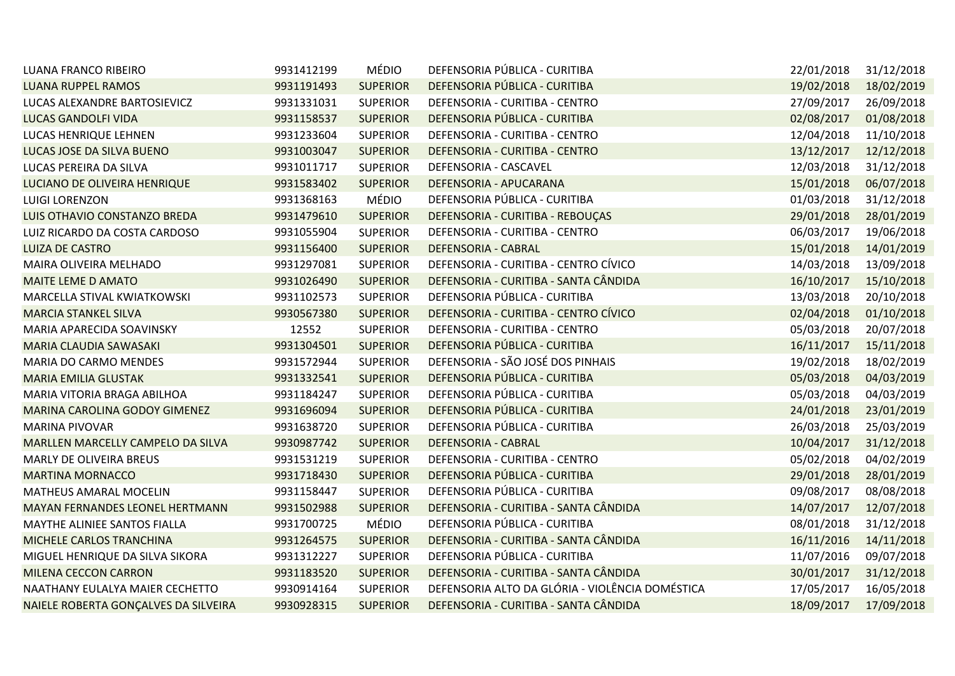| LUANA FRANCO RIBEIRO                   | 9931412199 | <b>MÉDIO</b>    | DEFENSORIA PÚBLICA - CURITIBA                   | 22/01/2018 | 31/12/2018 |
|----------------------------------------|------------|-----------------|-------------------------------------------------|------------|------------|
| <b>LUANA RUPPEL RAMOS</b>              | 9931191493 | <b>SUPERIOR</b> | DEFENSORIA PÚBLICA - CURITIBA                   | 19/02/2018 | 18/02/2019 |
| LUCAS ALEXANDRE BARTOSIEVICZ           | 9931331031 | <b>SUPERIOR</b> | DEFENSORIA - CURITIBA - CENTRO                  | 27/09/2017 | 26/09/2018 |
| <b>LUCAS GANDOLFI VIDA</b>             | 9931158537 | <b>SUPERIOR</b> | DEFENSORIA PÚBLICA - CURITIBA                   | 02/08/2017 | 01/08/2018 |
| LUCAS HENRIQUE LEHNEN                  | 9931233604 | <b>SUPERIOR</b> | DEFENSORIA - CURITIBA - CENTRO                  | 12/04/2018 | 11/10/2018 |
| LUCAS JOSE DA SILVA BUENO              | 9931003047 | <b>SUPERIOR</b> | DEFENSORIA - CURITIBA - CENTRO                  | 13/12/2017 | 12/12/2018 |
| LUCAS PEREIRA DA SILVA                 | 9931011717 | <b>SUPERIOR</b> | DEFENSORIA - CASCAVEL                           | 12/03/2018 | 31/12/2018 |
| LUCIANO DE OLIVEIRA HENRIQUE           | 9931583402 | <b>SUPERIOR</b> | DEFENSORIA - APUCARANA                          | 15/01/2018 | 06/07/2018 |
| LUIGI LORENZON                         | 9931368163 | MÉDIO           | DEFENSORIA PÚBLICA - CURITIBA                   | 01/03/2018 | 31/12/2018 |
| LUIS OTHAVIO CONSTANZO BREDA           | 9931479610 | <b>SUPERIOR</b> | DEFENSORIA - CURITIBA - REBOUÇAS                | 29/01/2018 | 28/01/2019 |
| LUIZ RICARDO DA COSTA CARDOSO          | 9931055904 | <b>SUPERIOR</b> | DEFENSORIA - CURITIBA - CENTRO                  | 06/03/2017 | 19/06/2018 |
| <b>LUIZA DE CASTRO</b>                 | 9931156400 | <b>SUPERIOR</b> | <b>DEFENSORIA - CABRAL</b>                      | 15/01/2018 | 14/01/2019 |
| MAIRA OLIVEIRA MELHADO                 | 9931297081 | <b>SUPERIOR</b> | DEFENSORIA - CURITIBA - CENTRO CÍVICO           | 14/03/2018 | 13/09/2018 |
| <b>MAITE LEME D AMATO</b>              | 9931026490 | <b>SUPERIOR</b> | DEFENSORIA - CURITIBA - SANTA CÂNDIDA           | 16/10/2017 | 15/10/2018 |
| MARCELLA STIVAL KWIATKOWSKI            | 9931102573 | <b>SUPERIOR</b> | DEFENSORIA PÚBLICA - CURITIBA                   | 13/03/2018 | 20/10/2018 |
| <b>MARCIA STANKEL SILVA</b>            | 9930567380 | <b>SUPERIOR</b> | DEFENSORIA - CURITIBA - CENTRO CÍVICO           | 02/04/2018 | 01/10/2018 |
| MARIA APARECIDA SOAVINSKY              | 12552      | <b>SUPERIOR</b> | DEFENSORIA - CURITIBA - CENTRO                  | 05/03/2018 | 20/07/2018 |
| <b>MARIA CLAUDIA SAWASAKI</b>          | 9931304501 | <b>SUPERIOR</b> | DEFENSORIA PÚBLICA - CURITIBA                   | 16/11/2017 | 15/11/2018 |
| MARIA DO CARMO MENDES                  | 9931572944 | <b>SUPERIOR</b> | DEFENSORIA - SÃO JOSÉ DOS PINHAIS               | 19/02/2018 | 18/02/2019 |
| <b>MARIA EMILIA GLUSTAK</b>            | 9931332541 | <b>SUPERIOR</b> | DEFENSORIA PÚBLICA - CURITIBA                   | 05/03/2018 | 04/03/2019 |
| MARIA VITORIA BRAGA ABILHOA            | 9931184247 | <b>SUPERIOR</b> | DEFENSORIA PÚBLICA - CURITIBA                   | 05/03/2018 | 04/03/2019 |
| MARINA CAROLINA GODOY GIMENEZ          | 9931696094 | <b>SUPERIOR</b> | DEFENSORIA PÚBLICA - CURITIBA                   | 24/01/2018 | 23/01/2019 |
| MARINA PIVOVAR                         | 9931638720 | <b>SUPERIOR</b> | DEFENSORIA PÚBLICA - CURITIBA                   | 26/03/2018 | 25/03/2019 |
| MARLLEN MARCELLY CAMPELO DA SILVA      | 9930987742 | <b>SUPERIOR</b> | <b>DEFENSORIA - CABRAL</b>                      | 10/04/2017 | 31/12/2018 |
| MARLY DE OLIVEIRA BREUS                | 9931531219 | <b>SUPERIOR</b> | DEFENSORIA - CURITIBA - CENTRO                  | 05/02/2018 | 04/02/2019 |
| <b>MARTINA MORNACCO</b>                | 9931718430 | <b>SUPERIOR</b> | DEFENSORIA PÚBLICA - CURITIBA                   | 29/01/2018 | 28/01/2019 |
| MATHEUS AMARAL MOCELIN                 | 9931158447 | <b>SUPERIOR</b> | DEFENSORIA PÚBLICA - CURITIBA                   | 09/08/2017 | 08/08/2018 |
| <b>MAYAN FERNANDES LEONEL HERTMANN</b> | 9931502988 | <b>SUPERIOR</b> | DEFENSORIA - CURITIBA - SANTA CÂNDIDA           | 14/07/2017 | 12/07/2018 |
| MAYTHE ALINIEE SANTOS FIALLA           | 9931700725 | MÉDIO           | DEFENSORIA PÚBLICA - CURITIBA                   | 08/01/2018 | 31/12/2018 |
| MICHELE CARLOS TRANCHINA               | 9931264575 | <b>SUPERIOR</b> | DEFENSORIA - CURITIBA - SANTA CÂNDIDA           | 16/11/2016 | 14/11/2018 |
| MIGUEL HENRIQUE DA SILVA SIKORA        | 9931312227 | <b>SUPERIOR</b> | DEFENSORIA PÚBLICA - CURITIBA                   | 11/07/2016 | 09/07/2018 |
| <b>MILENA CECCON CARRON</b>            | 9931183520 | <b>SUPERIOR</b> | DEFENSORIA - CURITIBA - SANTA CÂNDIDA           | 30/01/2017 | 31/12/2018 |
| NAATHANY EULALYA MAIER CECHETTO        | 9930914164 | <b>SUPERIOR</b> | DEFENSORIA ALTO DA GLÓRIA - VIOLÊNCIA DOMÉSTICA | 17/05/2017 | 16/05/2018 |
| NAIELE ROBERTA GONÇALVES DA SILVEIRA   | 9930928315 | <b>SUPERIOR</b> | DEFENSORIA - CURITIBA - SANTA CÂNDIDA           | 18/09/2017 | 17/09/2018 |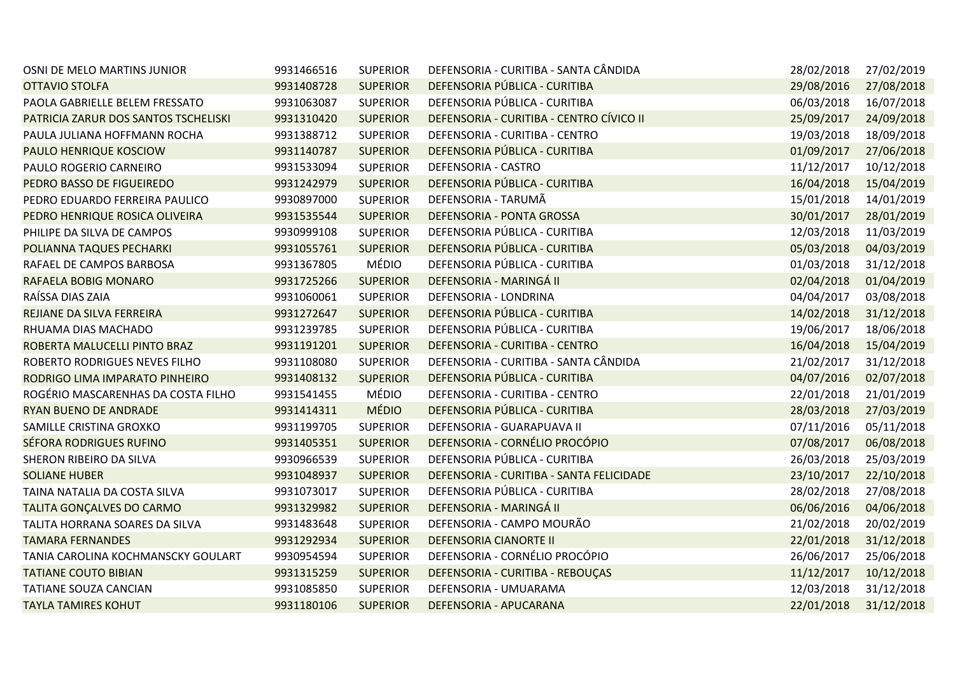| OSNI DE MELO MARTINS JUNIOR          | 9931466516 | <b>SUPERIOR</b> | DEFENSORIA - CURITIBA - SANTA CÂNDIDA    | 28/02/2018 | 27/02/2019 |
|--------------------------------------|------------|-----------------|------------------------------------------|------------|------------|
| <b>OTTAVIO STOLFA</b>                | 9931408728 | <b>SUPERIOR</b> | DEFENSORIA PÚBLICA - CURITIBA            | 29/08/2016 | 27/08/2018 |
| PAOLA GABRIELLE BELEM FRESSATO       | 9931063087 | <b>SUPERIOR</b> | DEFENSORIA PÚBLICA - CURITIBA            | 06/03/2018 | 16/07/2018 |
| PATRICIA ZARUR DOS SANTOS TSCHELISKI | 9931310420 | <b>SUPERIOR</b> | DEFENSORIA - CURITIBA - CENTRO CÍVICO II | 25/09/2017 | 24/09/2018 |
| PAULA JULIANA HOFFMANN ROCHA         | 9931388712 | <b>SUPERIOR</b> | DEFENSORIA - CURITIBA - CENTRO           | 19/03/2018 | 18/09/2018 |
| PAULO HENRIQUE KOSCIOW               | 9931140787 | <b>SUPERIOR</b> | DEFENSORIA PÚBLICA - CURITIBA            | 01/09/2017 | 27/06/2018 |
| PAULO ROGERIO CARNEIRO               | 9931533094 | <b>SUPERIOR</b> | DEFENSORIA - CASTRO                      | 11/12/2017 | 10/12/2018 |
| PEDRO BASSO DE FIGUEIREDO            | 9931242979 | <b>SUPERIOR</b> | DEFENSORIA PÚBLICA - CURITIBA            | 16/04/2018 | 15/04/2019 |
| PEDRO EDUARDO FERREIRA PAULICO       | 9930897000 | <b>SUPERIOR</b> | DEFENSORIA - TARUMÃ                      | 15/01/2018 | 14/01/2019 |
| PEDRO HENRIQUE ROSICA OLIVEIRA       | 9931535544 | <b>SUPERIOR</b> | DEFENSORIA - PONTA GROSSA                | 30/01/2017 | 28/01/2019 |
| PHILIPE DA SILVA DE CAMPOS           | 9930999108 | <b>SUPERIOR</b> | DEFENSORIA PÚBLICA - CURITIBA            | 12/03/2018 | 11/03/2019 |
| POLIANNA TAQUES PECHARKI             | 9931055761 | <b>SUPERIOR</b> | DEFENSORIA PÚBLICA - CURITIBA            | 05/03/2018 | 04/03/2019 |
| RAFAEL DE CAMPOS BARBOSA             | 9931367805 | <b>MÉDIO</b>    | DEFENSORIA PÚBLICA - CURITIBA            | 01/03/2018 | 31/12/2018 |
| <b>RAFAELA BOBIG MONARO</b>          | 9931725266 | <b>SUPERIOR</b> | DEFENSORIA - MARINGÁ II                  | 02/04/2018 | 01/04/2019 |
| RAÍSSA DIAS ZAIA                     | 9931060061 | <b>SUPERIOR</b> | DEFENSORIA - LONDRINA                    | 04/04/2017 | 03/08/2018 |
| REJIANE DA SILVA FERREIRA            | 9931272647 | <b>SUPERIOR</b> | DEFENSORIA PÚBLICA - CURITIBA            | 14/02/2018 | 31/12/2018 |
| RHUAMA DIAS MACHADO                  | 9931239785 | <b>SUPERIOR</b> | DEFENSORIA PÚBLICA - CURITIBA            | 19/06/2017 | 18/06/2018 |
| ROBERTA MALUCELLI PINTO BRAZ         | 9931191201 | <b>SUPERIOR</b> | DEFENSORIA - CURITIBA - CENTRO           | 16/04/2018 | 15/04/2019 |
| ROBERTO RODRIGUES NEVES FILHO        | 9931108080 | <b>SUPERIOR</b> | DEFENSORIA - CURITIBA - SANTA CÂNDIDA    | 21/02/2017 | 31/12/2018 |
| RODRIGO LIMA IMPARATO PINHEIRO       | 9931408132 | <b>SUPERIOR</b> | DEFENSORIA PÚBLICA - CURITIBA            | 04/07/2016 | 02/07/2018 |
| ROGÉRIO MASCARENHAS DA COSTA FILHO   | 9931541455 | MÉDIO           | DEFENSORIA - CURITIBA - CENTRO           | 22/01/2018 | 21/01/2019 |
| RYAN BUENO DE ANDRADE                | 9931414311 | <b>MÉDIO</b>    | DEFENSORIA PÚBLICA - CURITIBA            | 28/03/2018 | 27/03/2019 |
| SAMILLE CRISTINA GROXKO              | 9931199705 | <b>SUPERIOR</b> | DEFENSORIA - GUARAPUAVA II               | 07/11/2016 | 05/11/2018 |
| <b>SÉFORA RODRIGUES RUFINO</b>       | 9931405351 | <b>SUPERIOR</b> | DEFENSORIA - CORNÉLIO PROCÓPIO           | 07/08/2017 | 06/08/2018 |
| SHERON RIBEIRO DA SILVA              | 9930966539 | <b>SUPERIOR</b> | DEFENSORIA PÚBLICA - CURITIBA            | 26/03/2018 | 25/03/2019 |
| <b>SOLIANE HUBER</b>                 | 9931048937 | <b>SUPERIOR</b> | DEFENSORIA - CURITIBA - SANTA FELICIDADE | 23/10/2017 | 22/10/2018 |
| TAINA NATALIA DA COSTA SILVA         | 9931073017 | <b>SUPERIOR</b> | DEFENSORIA PÚBLICA - CURITIBA            | 28/02/2018 | 27/08/2018 |
| TALITA GONÇALVES DO CARMO            | 9931329982 | <b>SUPERIOR</b> | DEFENSORIA - MARINGÁ II                  | 06/06/2016 | 04/06/2018 |
| TALITA HORRANA SOARES DA SILVA       | 9931483648 | <b>SUPERIOR</b> | DEFENSORIA - CAMPO MOURÃO                | 21/02/2018 | 20/02/2019 |
| <b>TAMARA FERNANDES</b>              | 9931292934 | <b>SUPERIOR</b> | <b>DEFENSORIA CIANORTE II</b>            | 22/01/2018 | 31/12/2018 |
| TANIA CAROLINA KOCHMANSCKY GOULART   | 9930954594 | <b>SUPERIOR</b> | DEFENSORIA - CORNÉLIO PROCÓPIO           | 26/06/2017 | 25/06/2018 |
| <b>TATIANE COUTO BIBIAN</b>          | 9931315259 | <b>SUPERIOR</b> | DEFENSORIA - CURITIBA - REBOUÇAS         | 11/12/2017 | 10/12/2018 |
| TATIANE SOUZA CANCIAN                | 9931085850 | <b>SUPERIOR</b> | DEFENSORIA - UMUARAMA                    | 12/03/2018 | 31/12/2018 |
| <b>TAYLA TAMIRES KOHUT</b>           | 9931180106 | <b>SUPERIOR</b> | DEFENSORIA - APUCARANA                   | 22/01/2018 | 31/12/2018 |